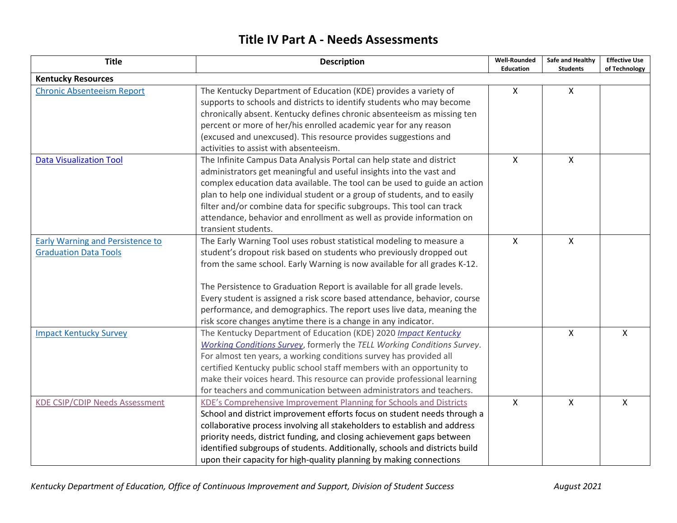## **Title IV Part A - Needs Assessments**

| <b>Title</b>                                                            | <b>Description</b>                                                                                                                                                                                                                                                                                                                                                                                                                                                                                                          | <b>Well-Rounded</b><br><b>Education</b> | Safe and Healthy<br><b>Students</b> | <b>Effective Use</b><br>of Technology |
|-------------------------------------------------------------------------|-----------------------------------------------------------------------------------------------------------------------------------------------------------------------------------------------------------------------------------------------------------------------------------------------------------------------------------------------------------------------------------------------------------------------------------------------------------------------------------------------------------------------------|-----------------------------------------|-------------------------------------|---------------------------------------|
| <b>Kentucky Resources</b>                                               |                                                                                                                                                                                                                                                                                                                                                                                                                                                                                                                             |                                         |                                     |                                       |
| <b>Chronic Absenteeism Report</b>                                       | The Kentucky Department of Education (KDE) provides a variety of<br>supports to schools and districts to identify students who may become<br>chronically absent. Kentucky defines chronic absenteeism as missing ten<br>percent or more of her/his enrolled academic year for any reason<br>(excused and unexcused). This resource provides suggestions and<br>activities to assist with absenteeism.                                                                                                                       | $\mathsf{X}$                            | $\mathsf{X}$                        |                                       |
| <b>Data Visualization Tool</b>                                          | The Infinite Campus Data Analysis Portal can help state and district<br>administrators get meaningful and useful insights into the vast and<br>complex education data available. The tool can be used to guide an action<br>plan to help one individual student or a group of students, and to easily<br>filter and/or combine data for specific subgroups. This tool can track<br>attendance, behavior and enrollment as well as provide information on<br>transient students.                                             | $\mathsf{X}$                            | X                                   |                                       |
| <b>Early Warning and Persistence to</b><br><b>Graduation Data Tools</b> | The Early Warning Tool uses robust statistical modeling to measure a<br>student's dropout risk based on students who previously dropped out<br>from the same school. Early Warning is now available for all grades K-12.<br>The Persistence to Graduation Report is available for all grade levels.<br>Every student is assigned a risk score based attendance, behavior, course<br>performance, and demographics. The report uses live data, meaning the<br>risk score changes anytime there is a change in any indicator. | X                                       | $\mathsf{X}$                        |                                       |
| <b>Impact Kentucky Survey</b>                                           | The Kentucky Department of Education (KDE) 2020 Impact Kentucky<br>Working Conditions Survey, formerly the TELL Working Conditions Survey.<br>For almost ten years, a working conditions survey has provided all<br>certified Kentucky public school staff members with an opportunity to<br>make their voices heard. This resource can provide professional learning<br>for teachers and communication between administrators and teachers.                                                                                |                                         | $\mathsf{X}$                        | $\mathsf{X}$                          |
| <b>KDE CSIP/CDIP Needs Assessment</b>                                   | KDE's Comprehensive Improvement Planning for Schools and Districts<br>School and district improvement efforts focus on student needs through a<br>collaborative process involving all stakeholders to establish and address<br>priority needs, district funding, and closing achievement gaps between<br>identified subgroups of students. Additionally, schools and districts build<br>upon their capacity for high-quality planning by making connections                                                                 | $\pmb{\times}$                          | $\mathsf{X}$                        | $\pmb{\times}$                        |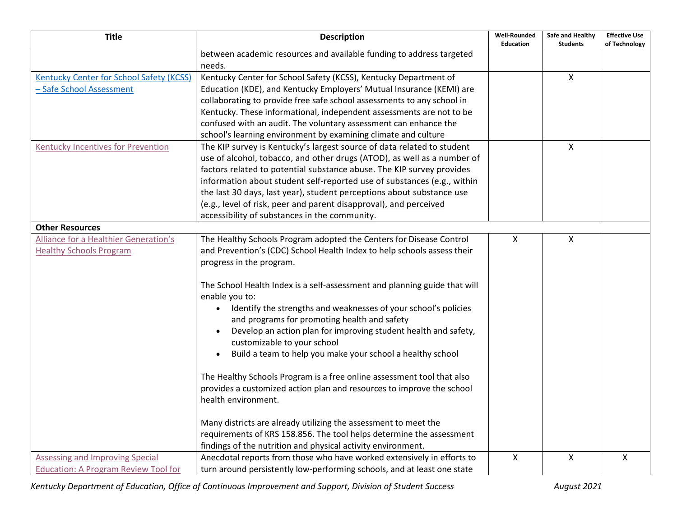| <b>Title</b>                                    | <b>Description</b>                                                             | <b>Well-Rounded</b>       | Safe and Healthy | <b>Effective Use</b>      |
|-------------------------------------------------|--------------------------------------------------------------------------------|---------------------------|------------------|---------------------------|
|                                                 |                                                                                | <b>Education</b>          | <b>Students</b>  | of Technology             |
|                                                 | between academic resources and available funding to address targeted<br>needs. |                           |                  |                           |
| <b>Kentucky Center for School Safety (KCSS)</b> | Kentucky Center for School Safety (KCSS), Kentucky Department of               |                           | $\mathsf{X}$     |                           |
|                                                 |                                                                                |                           |                  |                           |
| - Safe School Assessment                        | Education (KDE), and Kentucky Employers' Mutual Insurance (KEMI) are           |                           |                  |                           |
|                                                 | collaborating to provide free safe school assessments to any school in         |                           |                  |                           |
|                                                 | Kentucky. These informational, independent assessments are not to be           |                           |                  |                           |
|                                                 | confused with an audit. The voluntary assessment can enhance the               |                           |                  |                           |
|                                                 | school's learning environment by examining climate and culture                 |                           |                  |                           |
| <b>Kentucky Incentives for Prevention</b>       | The KIP survey is Kentucky's largest source of data related to student         |                           | $\mathsf{X}$     |                           |
|                                                 | use of alcohol, tobacco, and other drugs (ATOD), as well as a number of        |                           |                  |                           |
|                                                 | factors related to potential substance abuse. The KIP survey provides          |                           |                  |                           |
|                                                 | information about student self-reported use of substances (e.g., within        |                           |                  |                           |
|                                                 | the last 30 days, last year), student perceptions about substance use          |                           |                  |                           |
|                                                 | (e.g., level of risk, peer and parent disapproval), and perceived              |                           |                  |                           |
|                                                 | accessibility of substances in the community.                                  |                           |                  |                           |
| <b>Other Resources</b>                          |                                                                                |                           |                  |                           |
| Alliance for a Healthier Generation's           | The Healthy Schools Program adopted the Centers for Disease Control            | $\boldsymbol{\mathsf{X}}$ | X                |                           |
| <b>Healthy Schools Program</b>                  | and Prevention's (CDC) School Health Index to help schools assess their        |                           |                  |                           |
|                                                 | progress in the program.                                                       |                           |                  |                           |
|                                                 | The School Health Index is a self-assessment and planning guide that will      |                           |                  |                           |
|                                                 | enable you to:                                                                 |                           |                  |                           |
|                                                 | Identify the strengths and weaknesses of your school's policies                |                           |                  |                           |
|                                                 | and programs for promoting health and safety                                   |                           |                  |                           |
|                                                 | Develop an action plan for improving student health and safety,<br>$\bullet$   |                           |                  |                           |
|                                                 | customizable to your school                                                    |                           |                  |                           |
|                                                 | Build a team to help you make your school a healthy school<br>$\bullet$        |                           |                  |                           |
|                                                 | The Healthy Schools Program is a free online assessment tool that also         |                           |                  |                           |
|                                                 | provides a customized action plan and resources to improve the school          |                           |                  |                           |
|                                                 | health environment.                                                            |                           |                  |                           |
|                                                 |                                                                                |                           |                  |                           |
|                                                 | Many districts are already utilizing the assessment to meet the                |                           |                  |                           |
|                                                 | requirements of KRS 158.856. The tool helps determine the assessment           |                           |                  |                           |
|                                                 | findings of the nutrition and physical activity environment.                   |                           |                  |                           |
| <b>Assessing and Improving Special</b>          | Anecdotal reports from those who have worked extensively in efforts to         | $\boldsymbol{\mathsf{X}}$ | $\mathsf{x}$     | $\boldsymbol{\mathsf{X}}$ |
| <b>Education: A Program Review Tool for</b>     | turn around persistently low-performing schools, and at least one state        |                           |                  |                           |

*Kentucky Department of Education, Office of Continuous Improvement and Support, Division of Student Success August 2021*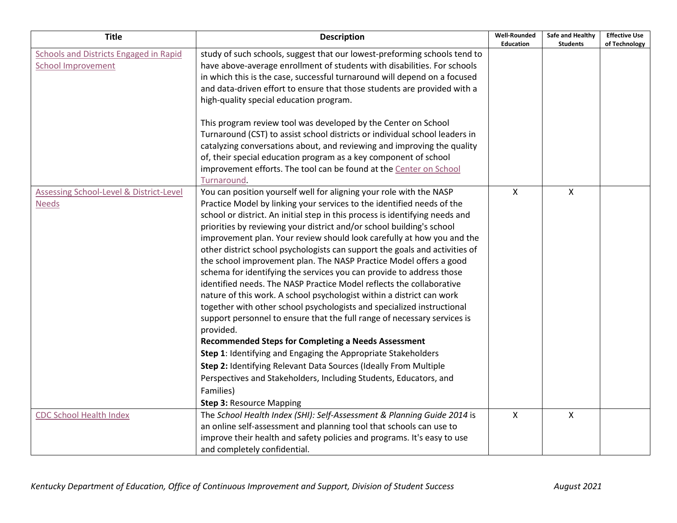| <b>Title</b>                                                               | <b>Description</b>                                                                                                                                                                                                                                                                                                                                                                                                                                                                                                                                                                                                                                                                                                                                                                                                                                                                                                                                                                                                                                                                                                                                                                                                                                        | <b>Well-Rounded</b><br><b>Education</b> | Safe and Healthy<br><b>Students</b> | <b>Effective Use</b><br>of Technology |
|----------------------------------------------------------------------------|-----------------------------------------------------------------------------------------------------------------------------------------------------------------------------------------------------------------------------------------------------------------------------------------------------------------------------------------------------------------------------------------------------------------------------------------------------------------------------------------------------------------------------------------------------------------------------------------------------------------------------------------------------------------------------------------------------------------------------------------------------------------------------------------------------------------------------------------------------------------------------------------------------------------------------------------------------------------------------------------------------------------------------------------------------------------------------------------------------------------------------------------------------------------------------------------------------------------------------------------------------------|-----------------------------------------|-------------------------------------|---------------------------------------|
| <b>Schools and Districts Engaged in Rapid</b><br><b>School Improvement</b> | study of such schools, suggest that our lowest-preforming schools tend to<br>have above-average enrollment of students with disabilities. For schools<br>in which this is the case, successful turnaround will depend on a focused<br>and data-driven effort to ensure that those students are provided with a<br>high-quality special education program.                                                                                                                                                                                                                                                                                                                                                                                                                                                                                                                                                                                                                                                                                                                                                                                                                                                                                                 |                                         |                                     |                                       |
|                                                                            | This program review tool was developed by the Center on School<br>Turnaround (CST) to assist school districts or individual school leaders in<br>catalyzing conversations about, and reviewing and improving the quality<br>of, their special education program as a key component of school<br>improvement efforts. The tool can be found at the Center on School<br>Turnaround.                                                                                                                                                                                                                                                                                                                                                                                                                                                                                                                                                                                                                                                                                                                                                                                                                                                                         |                                         |                                     |                                       |
| Assessing School-Level & District-Level<br><b>Needs</b>                    | You can position yourself well for aligning your role with the NASP<br>Practice Model by linking your services to the identified needs of the<br>school or district. An initial step in this process is identifying needs and<br>priorities by reviewing your district and/or school building's school<br>improvement plan. Your review should look carefully at how you and the<br>other district school psychologists can support the goals and activities of<br>the school improvement plan. The NASP Practice Model offers a good<br>schema for identifying the services you can provide to address those<br>identified needs. The NASP Practice Model reflects the collaborative<br>nature of this work. A school psychologist within a district can work<br>together with other school psychologists and specialized instructional<br>support personnel to ensure that the full range of necessary services is<br>provided.<br><b>Recommended Steps for Completing a Needs Assessment</b><br>Step 1: Identifying and Engaging the Appropriate Stakeholders<br>Step 2: Identifying Relevant Data Sources (Ideally From Multiple<br>Perspectives and Stakeholders, Including Students, Educators, and<br>Families)<br><b>Step 3: Resource Mapping</b> | X                                       | X                                   |                                       |
| <b>CDC School Health Index</b>                                             | The School Health Index (SHI): Self-Assessment & Planning Guide 2014 is<br>an online self-assessment and planning tool that schools can use to<br>improve their health and safety policies and programs. It's easy to use<br>and completely confidential.                                                                                                                                                                                                                                                                                                                                                                                                                                                                                                                                                                                                                                                                                                                                                                                                                                                                                                                                                                                                 | $\boldsymbol{\mathsf{X}}$               | X                                   |                                       |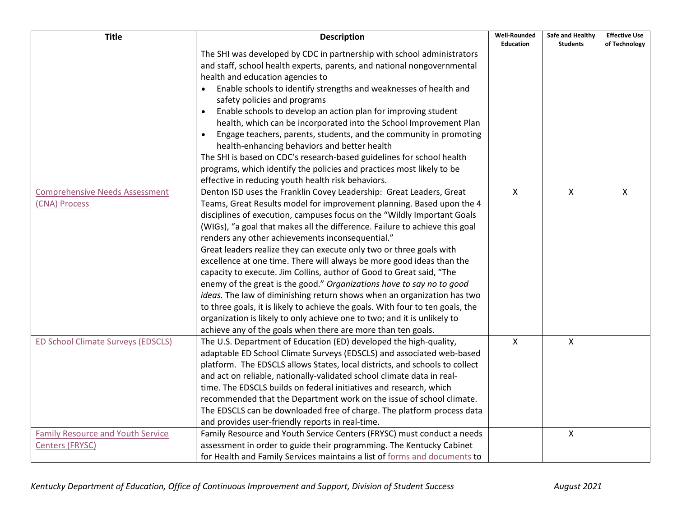| <b>Title</b>                             | <b>Description</b>                                                              | <b>Well-Rounded</b><br><b>Education</b> | Safe and Healthy<br><b>Students</b> | <b>Effective Use</b><br>of Technology |
|------------------------------------------|---------------------------------------------------------------------------------|-----------------------------------------|-------------------------------------|---------------------------------------|
|                                          | The SHI was developed by CDC in partnership with school administrators          |                                         |                                     |                                       |
|                                          | and staff, school health experts, parents, and national nongovernmental         |                                         |                                     |                                       |
|                                          | health and education agencies to                                                |                                         |                                     |                                       |
|                                          | Enable schools to identify strengths and weaknesses of health and               |                                         |                                     |                                       |
|                                          | safety policies and programs                                                    |                                         |                                     |                                       |
|                                          | Enable schools to develop an action plan for improving student<br>$\bullet$     |                                         |                                     |                                       |
|                                          | health, which can be incorporated into the School Improvement Plan              |                                         |                                     |                                       |
|                                          | Engage teachers, parents, students, and the community in promoting<br>$\bullet$ |                                         |                                     |                                       |
|                                          | health-enhancing behaviors and better health                                    |                                         |                                     |                                       |
|                                          | The SHI is based on CDC's research-based guidelines for school health           |                                         |                                     |                                       |
|                                          | programs, which identify the policies and practices most likely to be           |                                         |                                     |                                       |
|                                          | effective in reducing youth health risk behaviors.                              |                                         |                                     |                                       |
| <b>Comprehensive Needs Assessment</b>    | Denton ISD uses the Franklin Covey Leadership: Great Leaders, Great             | $\mathsf{X}$                            | X                                   | X                                     |
| (CNA) Process                            | Teams, Great Results model for improvement planning. Based upon the 4           |                                         |                                     |                                       |
|                                          | disciplines of execution, campuses focus on the "Wildly Important Goals         |                                         |                                     |                                       |
|                                          | (WIGs), "a goal that makes all the difference. Failure to achieve this goal     |                                         |                                     |                                       |
|                                          | renders any other achievements inconsequential."                                |                                         |                                     |                                       |
|                                          | Great leaders realize they can execute only two or three goals with             |                                         |                                     |                                       |
|                                          | excellence at one time. There will always be more good ideas than the           |                                         |                                     |                                       |
|                                          | capacity to execute. Jim Collins, author of Good to Great said, "The            |                                         |                                     |                                       |
|                                          | enemy of the great is the good." Organizations have to say no to good           |                                         |                                     |                                       |
|                                          | ideas. The law of diminishing return shows when an organization has two         |                                         |                                     |                                       |
|                                          | to three goals, it is likely to achieve the goals. With four to ten goals, the  |                                         |                                     |                                       |
|                                          | organization is likely to only achieve one to two; and it is unlikely to        |                                         |                                     |                                       |
|                                          | achieve any of the goals when there are more than ten goals.                    |                                         |                                     |                                       |
| ED School Climate Surveys (EDSCLS)       | The U.S. Department of Education (ED) developed the high-quality,               | $\mathsf{X}$                            | $\mathsf{X}$                        |                                       |
|                                          | adaptable ED School Climate Surveys (EDSCLS) and associated web-based           |                                         |                                     |                                       |
|                                          | platform. The EDSCLS allows States, local districts, and schools to collect     |                                         |                                     |                                       |
|                                          | and act on reliable, nationally-validated school climate data in real-          |                                         |                                     |                                       |
|                                          | time. The EDSCLS builds on federal initiatives and research, which              |                                         |                                     |                                       |
|                                          | recommended that the Department work on the issue of school climate.            |                                         |                                     |                                       |
|                                          | The EDSCLS can be downloaded free of charge. The platform process data          |                                         |                                     |                                       |
|                                          | and provides user-friendly reports in real-time.                                |                                         |                                     |                                       |
| <b>Family Resource and Youth Service</b> | Family Resource and Youth Service Centers (FRYSC) must conduct a needs          |                                         | X                                   |                                       |
| <b>Centers (FRYSC)</b>                   | assessment in order to guide their programming. The Kentucky Cabinet            |                                         |                                     |                                       |
|                                          | for Health and Family Services maintains a list of forms and documents to       |                                         |                                     |                                       |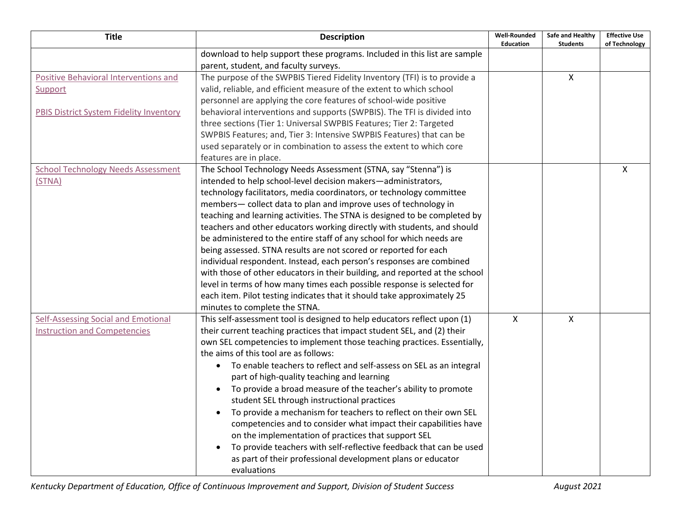| <b>Title</b>                                                                                              | <b>Description</b>                                                                                                                                                                                                                                                                                                                                                                                                                                                                                                                                                                                                                                                                                                                                                                                                                                                                                                            | <b>Well-Rounded</b><br><b>Education</b> | Safe and Healthy<br><b>Students</b> | <b>Effective Use</b><br>of Technology |
|-----------------------------------------------------------------------------------------------------------|-------------------------------------------------------------------------------------------------------------------------------------------------------------------------------------------------------------------------------------------------------------------------------------------------------------------------------------------------------------------------------------------------------------------------------------------------------------------------------------------------------------------------------------------------------------------------------------------------------------------------------------------------------------------------------------------------------------------------------------------------------------------------------------------------------------------------------------------------------------------------------------------------------------------------------|-----------------------------------------|-------------------------------------|---------------------------------------|
|                                                                                                           | download to help support these programs. Included in this list are sample<br>parent, student, and faculty surveys.                                                                                                                                                                                                                                                                                                                                                                                                                                                                                                                                                                                                                                                                                                                                                                                                            |                                         |                                     |                                       |
| <b>Positive Behavioral Interventions and</b><br>Support<br><b>PBIS District System Fidelity Inventory</b> | The purpose of the SWPBIS Tiered Fidelity Inventory (TFI) is to provide a<br>valid, reliable, and efficient measure of the extent to which school<br>personnel are applying the core features of school-wide positive<br>behavioral interventions and supports (SWPBIS). The TFI is divided into<br>three sections (Tier 1: Universal SWPBIS Features; Tier 2: Targeted<br>SWPBIS Features; and, Tier 3: Intensive SWPBIS Features) that can be<br>used separately or in combination to assess the extent to which core<br>features are in place.                                                                                                                                                                                                                                                                                                                                                                             |                                         | X                                   |                                       |
| <b>School Technology Needs Assessment</b><br>(STNA)                                                       | The School Technology Needs Assessment (STNA, say "Stenna") is<br>intended to help school-level decision makers-administrators,<br>technology facilitators, media coordinators, or technology committee<br>members- collect data to plan and improve uses of technology in<br>teaching and learning activities. The STNA is designed to be completed by<br>teachers and other educators working directly with students, and should<br>be administered to the entire staff of any school for which needs are<br>being assessed. STNA results are not scored or reported for each<br>individual respondent. Instead, each person's responses are combined<br>with those of other educators in their building, and reported at the school<br>level in terms of how many times each possible response is selected for<br>each item. Pilot testing indicates that it should take approximately 25<br>minutes to complete the STNA. |                                         |                                     | X                                     |
| Self-Assessing Social and Emotional<br><b>Instruction and Competencies</b>                                | This self-assessment tool is designed to help educators reflect upon (1)<br>their current teaching practices that impact student SEL, and (2) their<br>own SEL competencies to implement those teaching practices. Essentially,<br>the aims of this tool are as follows:<br>To enable teachers to reflect and self-assess on SEL as an integral<br>$\bullet$<br>part of high-quality teaching and learning<br>To provide a broad measure of the teacher's ability to promote<br>$\bullet$<br>student SEL through instructional practices<br>To provide a mechanism for teachers to reflect on their own SEL<br>$\bullet$<br>competencies and to consider what impact their capabilities have<br>on the implementation of practices that support SEL<br>To provide teachers with self-reflective feedback that can be used<br>as part of their professional development plans or educator<br>evaluations                       | $\mathsf{X}$                            | X                                   |                                       |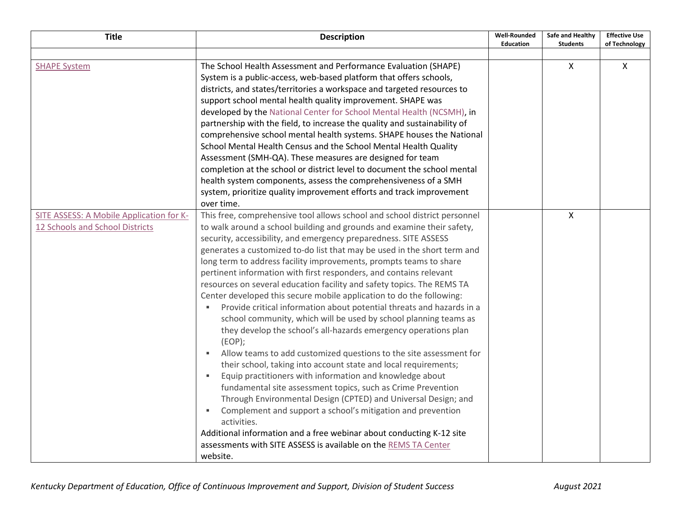| <b>Title</b>                                                                | <b>Description</b>                                                                                                                                                                                                                                                                                                                                                                                                                                                                                                                                                                                                                                                                                                                                                                                                                                                                                                                                                                                                                                                                                                                                                                                                                                                                                                                                                                                                         | <b>Well-Rounded</b><br><b>Education</b> | Safe and Healthy<br><b>Students</b> | <b>Effective Use</b><br>of Technology |
|-----------------------------------------------------------------------------|----------------------------------------------------------------------------------------------------------------------------------------------------------------------------------------------------------------------------------------------------------------------------------------------------------------------------------------------------------------------------------------------------------------------------------------------------------------------------------------------------------------------------------------------------------------------------------------------------------------------------------------------------------------------------------------------------------------------------------------------------------------------------------------------------------------------------------------------------------------------------------------------------------------------------------------------------------------------------------------------------------------------------------------------------------------------------------------------------------------------------------------------------------------------------------------------------------------------------------------------------------------------------------------------------------------------------------------------------------------------------------------------------------------------------|-----------------------------------------|-------------------------------------|---------------------------------------|
|                                                                             |                                                                                                                                                                                                                                                                                                                                                                                                                                                                                                                                                                                                                                                                                                                                                                                                                                                                                                                                                                                                                                                                                                                                                                                                                                                                                                                                                                                                                            |                                         |                                     |                                       |
| <b>SHAPE System</b>                                                         | The School Health Assessment and Performance Evaluation (SHAPE)<br>System is a public-access, web-based platform that offers schools,<br>districts, and states/territories a workspace and targeted resources to<br>support school mental health quality improvement. SHAPE was<br>developed by the National Center for School Mental Health (NCSMH), in<br>partnership with the field, to increase the quality and sustainability of<br>comprehensive school mental health systems. SHAPE houses the National<br>School Mental Health Census and the School Mental Health Quality<br>Assessment (SMH-QA). These measures are designed for team<br>completion at the school or district level to document the school mental<br>health system components, assess the comprehensiveness of a SMH<br>system, prioritize quality improvement efforts and track improvement<br>over time.                                                                                                                                                                                                                                                                                                                                                                                                                                                                                                                                       |                                         | $\mathsf{X}$                        | $\mathsf{X}$                          |
| SITE ASSESS: A Mobile Application for K-<br>12 Schools and School Districts | This free, comprehensive tool allows school and school district personnel<br>to walk around a school building and grounds and examine their safety,<br>security, accessibility, and emergency preparedness. SITE ASSESS<br>generates a customized to-do list that may be used in the short term and<br>long term to address facility improvements, prompts teams to share<br>pertinent information with first responders, and contains relevant<br>resources on several education facility and safety topics. The REMS TA<br>Center developed this secure mobile application to do the following:<br>Provide critical information about potential threats and hazards in a<br>school community, which will be used by school planning teams as<br>they develop the school's all-hazards emergency operations plan<br>$EOP$ ;<br>Allow teams to add customized questions to the site assessment for<br>$\blacksquare$<br>their school, taking into account state and local requirements;<br>Equip practitioners with information and knowledge about<br>fundamental site assessment topics, such as Crime Prevention<br>Through Environmental Design (CPTED) and Universal Design; and<br>Complement and support a school's mitigation and prevention<br>activities.<br>Additional information and a free webinar about conducting K-12 site<br>assessments with SITE ASSESS is available on the REMS TA Center<br>website. |                                         | $\mathsf{x}$                        |                                       |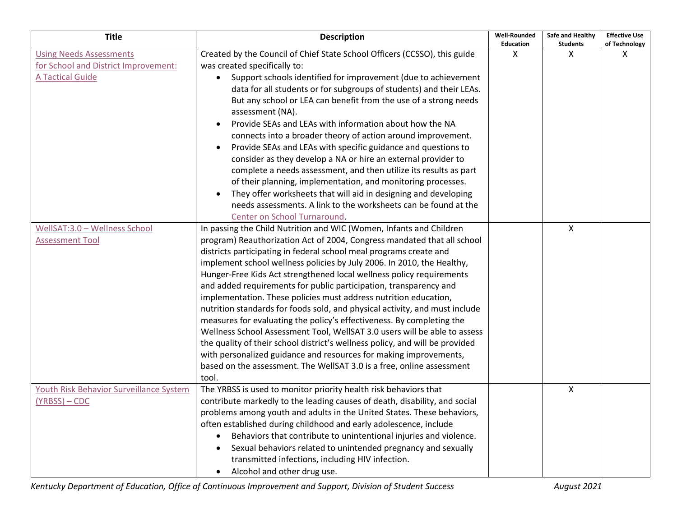| <b>Title</b>                            | <b>Description</b>                                                           | <b>Well-Rounded</b><br><b>Education</b> | Safe and Healthy<br><b>Students</b> | <b>Effective Use</b><br>of Technology |
|-----------------------------------------|------------------------------------------------------------------------------|-----------------------------------------|-------------------------------------|---------------------------------------|
| <b>Using Needs Assessments</b>          | Created by the Council of Chief State School Officers (CCSSO), this guide    | X                                       | X                                   | Х                                     |
| for School and District Improvement:    | was created specifically to:                                                 |                                         |                                     |                                       |
| <b>A Tactical Guide</b>                 | Support schools identified for improvement (due to achievement               |                                         |                                     |                                       |
|                                         | data for all students or for subgroups of students) and their LEAs.          |                                         |                                     |                                       |
|                                         | But any school or LEA can benefit from the use of a strong needs             |                                         |                                     |                                       |
|                                         | assessment (NA).<br>Provide SEAs and LEAs with information about how the NA  |                                         |                                     |                                       |
|                                         |                                                                              |                                         |                                     |                                       |
|                                         | connects into a broader theory of action around improvement.                 |                                         |                                     |                                       |
|                                         | Provide SEAs and LEAs with specific guidance and questions to                |                                         |                                     |                                       |
|                                         | consider as they develop a NA or hire an external provider to                |                                         |                                     |                                       |
|                                         | complete a needs assessment, and then utilize its results as part            |                                         |                                     |                                       |
|                                         | of their planning, implementation, and monitoring processes.                 |                                         |                                     |                                       |
|                                         | They offer worksheets that will aid in designing and developing<br>$\bullet$ |                                         |                                     |                                       |
|                                         | needs assessments. A link to the worksheets can be found at the              |                                         |                                     |                                       |
|                                         | Center on School Turnaround.                                                 |                                         |                                     |                                       |
| WellSAT:3.0 - Wellness School           | In passing the Child Nutrition and WIC (Women, Infants and Children          |                                         | $\mathsf{X}$                        |                                       |
| <b>Assessment Tool</b>                  | program) Reauthorization Act of 2004, Congress mandated that all school      |                                         |                                     |                                       |
|                                         | districts participating in federal school meal programs create and           |                                         |                                     |                                       |
|                                         | implement school wellness policies by July 2006. In 2010, the Healthy,       |                                         |                                     |                                       |
|                                         | Hunger-Free Kids Act strengthened local wellness policy requirements         |                                         |                                     |                                       |
|                                         | and added requirements for public participation, transparency and            |                                         |                                     |                                       |
|                                         | implementation. These policies must address nutrition education,             |                                         |                                     |                                       |
|                                         | nutrition standards for foods sold, and physical activity, and must include  |                                         |                                     |                                       |
|                                         | measures for evaluating the policy's effectiveness. By completing the        |                                         |                                     |                                       |
|                                         | Wellness School Assessment Tool, WellSAT 3.0 users will be able to assess    |                                         |                                     |                                       |
|                                         | the quality of their school district's wellness policy, and will be provided |                                         |                                     |                                       |
|                                         | with personalized guidance and resources for making improvements,            |                                         |                                     |                                       |
|                                         | based on the assessment. The WellSAT 3.0 is a free, online assessment        |                                         |                                     |                                       |
|                                         | tool.                                                                        |                                         |                                     |                                       |
| Youth Risk Behavior Surveillance System | The YRBSS is used to monitor priority health risk behaviors that             |                                         | X                                   |                                       |
| $(YRBSS) - CDC$                         | contribute markedly to the leading causes of death, disability, and social   |                                         |                                     |                                       |
|                                         | problems among youth and adults in the United States. These behaviors,       |                                         |                                     |                                       |
|                                         | often established during childhood and early adolescence, include            |                                         |                                     |                                       |
|                                         | Behaviors that contribute to unintentional injuries and violence.            |                                         |                                     |                                       |
|                                         | Sexual behaviors related to unintended pregnancy and sexually                |                                         |                                     |                                       |
|                                         | transmitted infections, including HIV infection.                             |                                         |                                     |                                       |
|                                         | Alcohol and other drug use.                                                  |                                         |                                     |                                       |

*Kentucky Department of Education, Office of Continuous Improvement and Support, Division of Student Success August 2021*